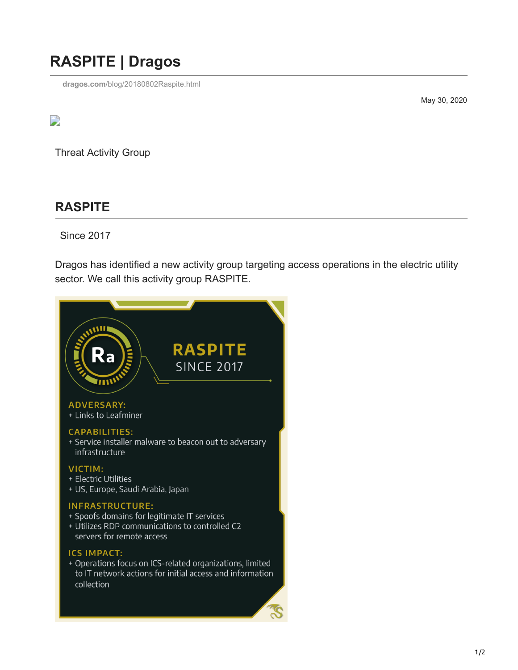## **RASPITE | Dragos**

**dragos.com**[/blog/20180802Raspite.html](https://dragos.com/blog/20180802Raspite.html)

May 30, 2020

## $\overline{\phantom{a}}$

Threat Activity Group

## **RASPITE**

Since 2017

Dragos has identified a new activity group targeting access operations in the electric utility sector. We call this activity group RASPITE.